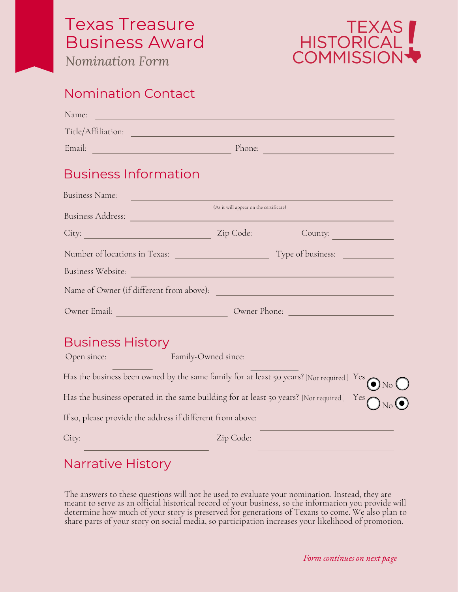# Texas Treasure Business Award

*Nomination Form*



#### Nomination Contact

| Name:<br><u>a sa mga salawang sa mga sangayong sa mga sangayong sa mga sangayong sa mga sangayong sa mga sangayong sa mga sangayong sa mga sangayong sa mga sangayong sa mga sangayong sa mga sangayong sa mga sangayong sa mga sangayong</u> |                                        |                 |
|-----------------------------------------------------------------------------------------------------------------------------------------------------------------------------------------------------------------------------------------------|----------------------------------------|-----------------|
| Title/Affiliation: National Communication of the Communication of the Communication of the Communication of the Communication of the Communication of the Communication of the Communication of the Communication of the Commu                |                                        |                 |
|                                                                                                                                                                                                                                               |                                        |                 |
| <b>Business Information</b>                                                                                                                                                                                                                   |                                        |                 |
| Business Name:                                                                                                                                                                                                                                |                                        |                 |
|                                                                                                                                                                                                                                               | (As it will appear on the certificate) |                 |
| City: City: City: County: County: County: County: County: County: County: County: County: County: County: County: County: County: County: County: County: County: County: County: County: County: County: County: County: Coun                |                                        |                 |
|                                                                                                                                                                                                                                               |                                        |                 |
| Business Website: New York: New York: New York: New York: New York: New York: New York: New York: New York: New York: New York: New York: New York: New York: New York: New York: New York: New York: New York: New York: New                 |                                        |                 |
| Name of Owner (if different from above):                                                                                                                                                                                                      |                                        |                 |
|                                                                                                                                                                                                                                               |                                        |                 |
| <b>Business History</b><br><b>Example 2</b> Family-Owned since:<br>Open since:                                                                                                                                                                |                                        |                 |
| Has the business been owned by the same family for at least 50 years? [Not required.] Yes                                                                                                                                                     |                                        | $\bigodot$ No ( |
| Has the business operated in the same building for at least 50 years? [Not required.] Yes                                                                                                                                                     |                                        |                 |
| If so, please provide the address if different from above:                                                                                                                                                                                    |                                        |                 |

City: Zip Code:

### Narrative History

The answers to these questions will not be used to evaluate your nomination. Instead, they are meant to serve as an official historical record of your business, so the information you provide will determine how much of your story is preserved for generations of Texans to come. We also plan to share parts of your story on social media, so participation increases your likelihood of promotion.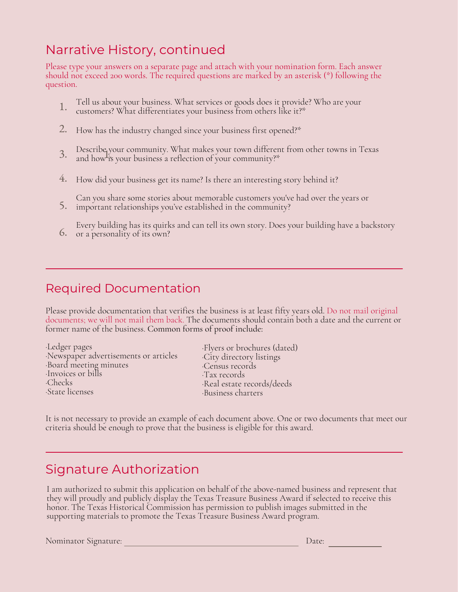# Narrative History, continued

Please type your answers on a separate page and attach with your nomination form. Each answer should not exceed 200 words. The required questions are marked by an asterisk (\*) following the question.

- Tell us about your business. What services or goods does it provide? Who are your customers? What differentiates your business from others like it?\* 1.
- How has the industry changed since your business first opened?\* 2.
- Describe your community. What makes your town different from other towns in Texas and how is your business a reflection of your community?\* 1. 3.
- How did your business get its name? Is there an interesting story behind it? 4.
- Can you share some stories about memorable customers you've had over the years or important relationships you've established in the community? 5.
- Every building has its quirks and can tell its own story. Does your building have a backstory or a personality of its own? 6.

#### Required Documentation

Please provide documentation that verifies the business is at least fifty years old. Do not mail original documents; we will not mail them back. The documents should contain both a date and the current or former name of the business. Common forms of proof include:

| Ledger pages                         |  |
|--------------------------------------|--|
| Newspaper advertisements or articles |  |
| Board meeting minutes                |  |
| Invoices or bills                    |  |
| Checks.                              |  |
| State licenses                       |  |

·Flyers or brochures (dated) ·City directory listings ·Census records ·Tax records ·Real estate records/deeds ·Business charters

It is not necessary to provide an example of each document above. One or two documents that meet our criteria should be enough to prove that the business is eligible for this award.

### Signature Authorization

I am authorized to submit this application on behalf of the above-named business and represent that they will proudly and publicly display the Texas Treasure Business Award if selected to receive this honor. The Texas Historical Commission has permission to publish images submitted in the supporting materials to promote the Texas Treasure Business Award program.

Nominator Signature: Date: